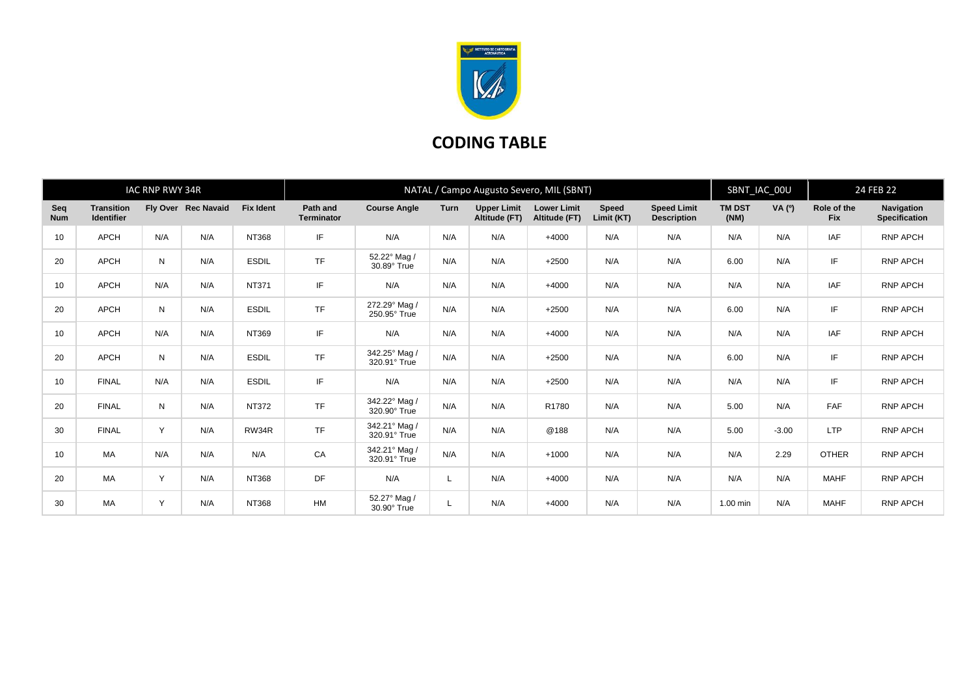

## **CODING TABLE**

|                   |                                        | IAC RNP RWY 34R |                     |                  | NATAL / Campo Augusto Severo, MIL (SBNT) |                               |             |                                     |                                     |                     |                                          |                       | SBNT_IAC_00U |                           | 24 FEB 22                   |  |
|-------------------|----------------------------------------|-----------------|---------------------|------------------|------------------------------------------|-------------------------------|-------------|-------------------------------------|-------------------------------------|---------------------|------------------------------------------|-----------------------|--------------|---------------------------|-----------------------------|--|
| Seq<br><b>Num</b> | <b>Transition</b><br><b>Identifier</b> |                 | Fly Over Rec Navaid | <b>Fix Ident</b> | Path and<br><b>Terminator</b>            | <b>Course Angle</b>           | <b>Turn</b> | <b>Upper Limit</b><br>Altitude (FT) | <b>Lower Limit</b><br>Altitude (FT) | Speed<br>Limit (KT) | <b>Speed Limit</b><br><b>Description</b> | <b>TM DST</b><br>(NM) | VA (°)       | Role of the<br><b>Fix</b> | Navigation<br>Specification |  |
| 10                | <b>APCH</b>                            | N/A             | N/A                 | NT368            | IF                                       | N/A                           | N/A         | N/A                                 | $+4000$                             | N/A                 | N/A                                      | N/A                   | N/A          | <b>IAF</b>                | <b>RNP APCH</b>             |  |
| 20                | APCH                                   | N               | N/A                 | <b>ESDIL</b>     | <b>TF</b>                                | 52.22° Mag /<br>30.89° True   | N/A         | N/A                                 | $+2500$                             | N/A                 | N/A                                      | 6.00                  | N/A          | IF                        | RNP APCH                    |  |
| 10                | <b>APCH</b>                            | N/A             | N/A                 | NT371            | IF                                       | N/A                           | N/A         | N/A                                 | $+4000$                             | N/A                 | N/A                                      | N/A                   | N/A          | IAF                       | RNP APCH                    |  |
| 20                | <b>APCH</b>                            | N               | N/A                 | <b>ESDIL</b>     | <b>TF</b>                                | 272.29° Mag /<br>250.95° True | N/A         | N/A                                 | $+2500$                             | N/A                 | N/A                                      | 6.00                  | N/A          | IF                        | RNP APCH                    |  |
| 10                | <b>APCH</b>                            | N/A             | N/A                 | NT369            | IF                                       | N/A                           | N/A         | N/A                                 | $+4000$                             | N/A                 | N/A                                      | N/A                   | N/A          | <b>IAF</b>                | <b>RNP APCH</b>             |  |
| 20                | <b>APCH</b>                            | N               | N/A                 | <b>ESDIL</b>     | <b>TF</b>                                | 342.25° Mag /<br>320.91° True | N/A         | N/A                                 | $+2500$                             | N/A                 | N/A                                      | 6.00                  | N/A          | IF                        | <b>RNP APCH</b>             |  |
| 10                | <b>FINAL</b>                           | N/A             | N/A                 | <b>ESDIL</b>     | IF                                       | N/A                           | N/A         | N/A                                 | $+2500$                             | N/A                 | N/A                                      | N/A                   | N/A          | IF                        | RNP APCH                    |  |
| 20                | <b>FINAL</b>                           | N               | N/A                 | NT372            | <b>TF</b>                                | 342.22° Mag /<br>320.90° True | N/A         | N/A                                 | R1780                               | N/A                 | N/A                                      | 5.00                  | N/A          | FAF                       | <b>RNP APCH</b>             |  |
| 30                | <b>FINAL</b>                           | Y               | N/A                 | RW34R            | <b>TF</b>                                | 342.21° Mag /<br>320.91° True | N/A         | N/A                                 | @188                                | N/A                 | N/A                                      | 5.00                  | $-3.00$      | <b>LTP</b>                | <b>RNP APCH</b>             |  |
| 10                | MA                                     | N/A             | N/A                 | N/A              | CA                                       | 342.21° Mag /<br>320.91° True | N/A         | N/A                                 | $+1000$                             | N/A                 | N/A                                      | N/A                   | 2.29         | <b>OTHER</b>              | RNP APCH                    |  |
| 20                | MA                                     | Y               | N/A                 | NT368            | DF                                       | N/A                           | L           | N/A                                 | $+4000$                             | N/A                 | N/A                                      | N/A                   | N/A          | <b>MAHF</b>               | <b>RNP APCH</b>             |  |
| 30                | MA                                     | Y               | N/A                 | NT368            | HM                                       | 52.27° Mag /<br>30.90° True   |             | N/A                                 | $+4000$                             | N/A                 | N/A                                      | 1.00 min              | N/A          | <b>MAHF</b>               | <b>RNP APCH</b>             |  |